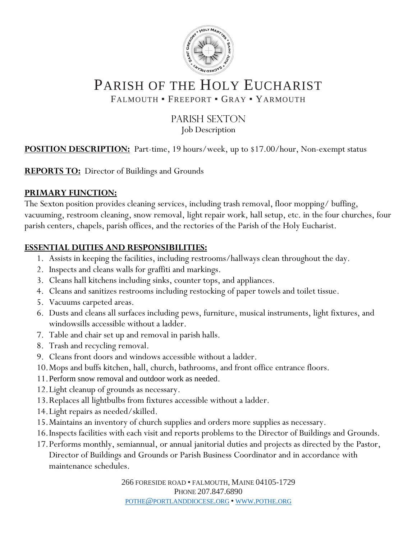

# PARISH OF THE HOLY EUCHARIST

FALMOUTH · FREEPORT · GRAY · YARMOUTH

#### PARISH SEXTON Job Description

**POSITION DESCRIPTION:** Part-time, 19 hours/week, up to \$17.00/hour, Non-exempt status

**REPORTS TO:** Director of Buildings and Grounds

#### **PRIMARY FUNCTION:**

The Sexton position provides cleaning services, including trash removal, floor mopping/ buffing, vacuuming, restroom cleaning, snow removal, light repair work, hall setup, etc. in the four churches, four parish centers, chapels, parish offices, and the rectories of the Parish of the Holy Eucharist.

#### **ESSENTIAL DUTIES AND RESPONSIBILITIES:**

- 1. Assists in keeping the facilities, including restrooms/hallways clean throughout the day.
- 2. Inspects and cleans walls for graffiti and markings.
- 3. Cleans hall kitchens including sinks, counter tops, and appliances.
- 4. Cleans and sanitizes restrooms including restocking of paper towels and toilet tissue.
- 5. Vacuums carpeted areas.
- 6. Dusts and cleans all surfaces including pews, furniture, musical instruments, light fixtures, and windowsills accessible without a ladder.
- 7. Table and chair set up and removal in parish halls.
- 8. Trash and recycling removal.
- 9. Cleans front doors and windows accessible without a ladder.
- 10.Mops and buffs kitchen, hall, church, bathrooms, and front office entrance floors.
- 11.Perform snow removal and outdoor work as needed.
- 12.Light cleanup of grounds as necessary.
- 13.Replaces all lightbulbs from fixtures accessible without a ladder.
- 14.Light repairs as needed/skilled.
- 15.Maintains an inventory of church supplies and orders more supplies as necessary.
- 16.Inspects facilities with each visit and reports problems to the Director of Buildings and Grounds.
- 17.Performs monthly, semiannual, or annual janitorial duties and projects as directed by the Pastor, Director of Buildings and Grounds or Parish Business Coordinator and in accordance with maintenance schedules.

266 FORESIDE ROAD • FALMOUTH, MAINE 04105-1729 PHONE 207.847.6890 POTHE@[PORTLANDDIOCESE](mailto:pothe@portlanddiocese.org).ORG • WWW.[POTHE](http://www.pothe.org/).ORG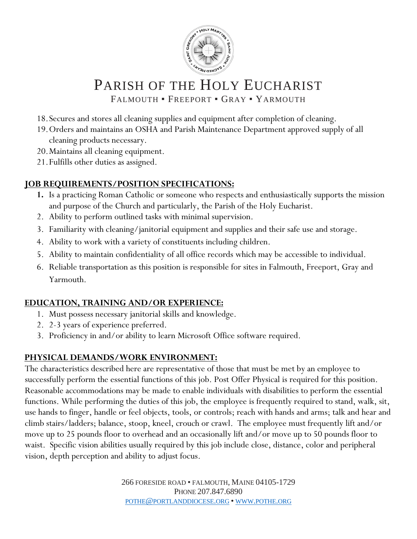

# PARISH OF THE HOLY EUCHARIST

FALMOUTH · FREEPORT · GRAY · YARMOUTH

- 18.Secures and stores all cleaning supplies and equipment after completion of cleaning.
- 19.Orders and maintains an OSHA and Parish Maintenance Department approved supply of all cleaning products necessary.
- 20.Maintains all cleaning equipment.
- 21.Fulfills other duties as assigned.

## **JOB REQUIREMENTS/POSITION SPECIFICATIONS:**

- **1.** Is a practicing Roman Catholic or someone who respects and enthusiastically supports the mission and purpose of the Church and particularly, the Parish of the Holy Eucharist.
- 2. Ability to perform outlined tasks with minimal supervision.
- 3. Familiarity with cleaning/janitorial equipment and supplies and their safe use and storage.
- 4. Ability to work with a variety of constituents including children.
- 5. Ability to maintain confidentiality of all office records which may be accessible to individual.
- 6. Reliable transportation as this position is responsible for sites in Falmouth, Freeport, Gray and Yarmouth.

## **EDUCATION, TRAINING AND/OR EXPERIENCE:**

- 1. Must possess necessary janitorial skills and knowledge.
- 2. 2-3 years of experience preferred.
- 3. Proficiency in and/or ability to learn Microsoft Office software required.

# **PHYSICAL DEMANDS/WORK ENVIRONMENT:**

The characteristics described here are representative of those that must be met by an employee to successfully perform the essential functions of this job. Post Offer Physical is required for this position. Reasonable accommodations may be made to enable individuals with disabilities to perform the essential functions. While performing the duties of this job, the employee is frequently required to stand, walk, sit, use hands to finger, handle or feel objects, tools, or controls; reach with hands and arms; talk and hear and climb stairs/ladders; balance, stoop, kneel, crouch or crawl. The employee must frequently lift and/or move up to 25 pounds floor to overhead and an occasionally lift and/or move up to 50 pounds floor to waist. Specific vision abilities usually required by this job include close, distance, color and peripheral vision, depth perception and ability to adjust focus.

> 266 FORESIDE ROAD • FALMOUTH, MAINE 04105-1729 PHONE 207.847.6890 POTHE@[PORTLANDDIOCESE](mailto:pothe@portlanddiocese.org).ORG • WWW.[POTHE](http://www.pothe.org/).ORG